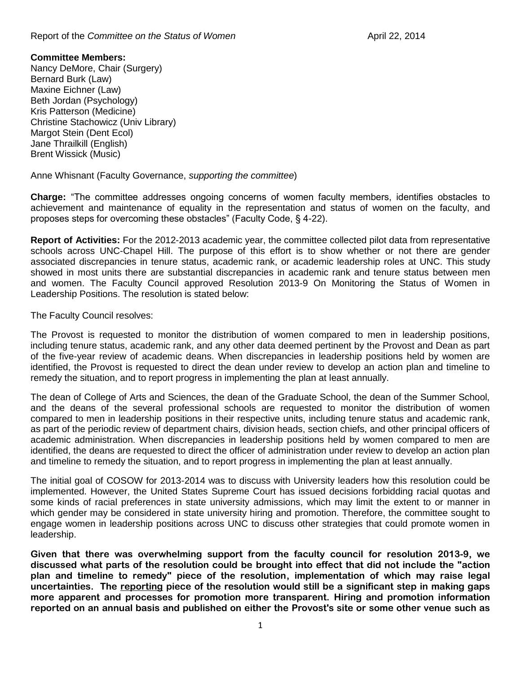## Report of the *Committee on the Status of Women* **April 22, 2014 April 22, 2014**

## **Committee Members:**

Nancy DeMore, Chair (Surgery) Bernard Burk (Law) Maxine Eichner (Law) Beth Jordan (Psychology) Kris Patterson (Medicine) Christine Stachowicz (Univ Library) Margot Stein (Dent Ecol) Jane Thrailkill (English) Brent Wissick (Music)

Anne Whisnant (Faculty Governance, *supporting the committee*)

**Charge:** "The committee addresses ongoing concerns of women faculty members, identifies obstacles to achievement and maintenance of equality in the representation and status of women on the faculty, and proposes steps for overcoming these obstacles" (Faculty Code, § 4-22).

**Report of Activities:** For the 2012-2013 academic year, the committee collected pilot data from representative schools across UNC-Chapel Hill. The purpose of this effort is to show whether or not there are gender associated discrepancies in tenure status, academic rank, or academic leadership roles at UNC. This study showed in most units there are substantial discrepancies in academic rank and tenure status between men and women. The Faculty Council approved Resolution 2013-9 On Monitoring the Status of Women in Leadership Positions. The resolution is stated below:

The Faculty Council resolves:

The Provost is requested to monitor the distribution of women compared to men in leadership positions, including tenure status, academic rank, and any other data deemed pertinent by the Provost and Dean as part of the five-year review of academic deans. When discrepancies in leadership positions held by women are identified, the Provost is requested to direct the dean under review to develop an action plan and timeline to remedy the situation, and to report progress in implementing the plan at least annually.

The dean of College of Arts and Sciences, the dean of the Graduate School, the dean of the Summer School, and the deans of the several professional schools are requested to monitor the distribution of women compared to men in leadership positions in their respective units, including tenure status and academic rank, as part of the periodic review of department chairs, division heads, section chiefs, and other principal officers of academic administration. When discrepancies in leadership positions held by women compared to men are identified, the deans are requested to direct the officer of administration under review to develop an action plan and timeline to remedy the situation, and to report progress in implementing the plan at least annually.

The initial goal of COSOW for 2013-2014 was to discuss with University leaders how this resolution could be implemented. However, the United States Supreme Court has issued decisions forbidding racial quotas and some kinds of racial preferences in state university admissions, which may limit the extent to or manner in which gender may be considered in state university hiring and promotion. Therefore, the committee sought to engage women in leadership positions across UNC to discuss other strategies that could promote women in leadership.

**Given that there was overwhelming support from the faculty council for resolution 2013-9, we discussed what parts of the resolution could be brought into effect that did not include the "action plan and timeline to remedy" piece of the resolution, implementation of which may raise legal uncertainties. The reporting piece of the resolution would still be a significant step in making gaps more apparent and processes for promotion more transparent. Hiring and promotion information reported on an annual basis and published on either the Provost's site or some other venue such as**